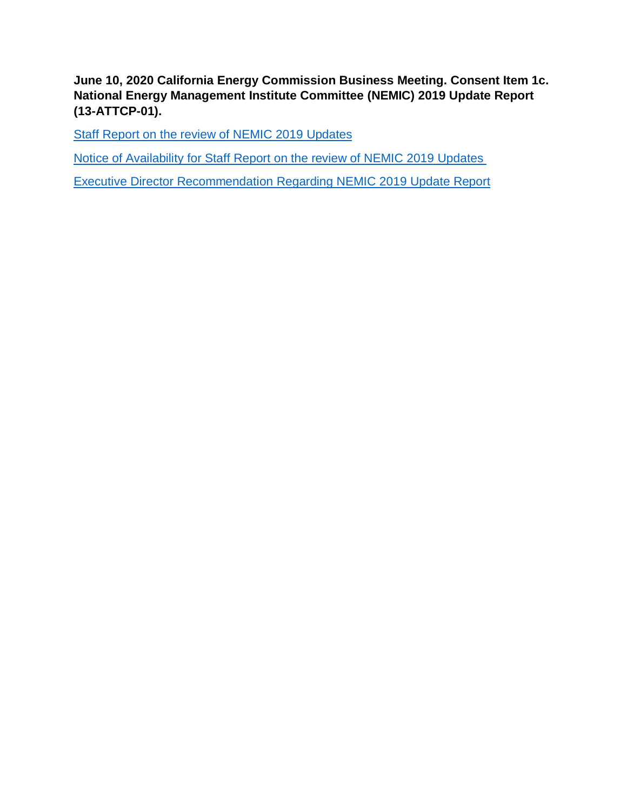**June 10, 2020 California Energy Commission Business Meeting. Consent Item 1c. National Energy Management Institute Committee (NEMIC) 2019 Update Report (13-ATTCP-01).** 

[Staff Report on the review of NEMIC](https://gcc01.safelinks.protection.outlook.com/?url=https%3A%2F%2Fefiling.energy.ca.gov%2FGetDocument.aspx%3Ftn%3D233151%26DocumentContentId%3D65639&data=01%7C01%7C%7C2100d4d70f1046ffbd5f08d8026228d2%7Cac3a124413f44ef68d1bbaa27148194e%7C0&sdata=x1fssPrygwC5%2BYypf6lpA7lqTWJKrDbTbiaBX9C0jP4%3D&reserved=0) 2019 Updates

[Notice of Availability for Staff Report on the review of NEMIC](https://gcc01.safelinks.protection.outlook.com/?url=https%3A%2F%2Fefiling.energy.ca.gov%2FGetDocument.aspx%3Ftn%3D233152%26DocumentContentId%3D65637&data=01%7C01%7C%7C2100d4d70f1046ffbd5f08d8026228d2%7Cac3a124413f44ef68d1bbaa27148194e%7C0&sdata=8VEk2%2B7aC2g1F1Q2YYPfgLP%2FQcxOZ3uR7R%2F8OaPuRbU%3D&reserved=0) 2019 Updates

[Executive Director Recommendation Regarding NEMIC](https://gcc01.safelinks.protection.outlook.com/?url=https%3A%2F%2Fefiling.energy.ca.gov%2FGetDocument.aspx%3Ftn%3D233150%26DocumentContentId%3D65638&data=01%7C01%7C%7C2100d4d70f1046ffbd5f08d8026228d2%7Cac3a124413f44ef68d1bbaa27148194e%7C0&sdata=KDIlMSJccpeQmXZhTzQFKFCnQobj%2FPm0ZyL5EBlKUMQ%3D&reserved=0) 2019 Update Report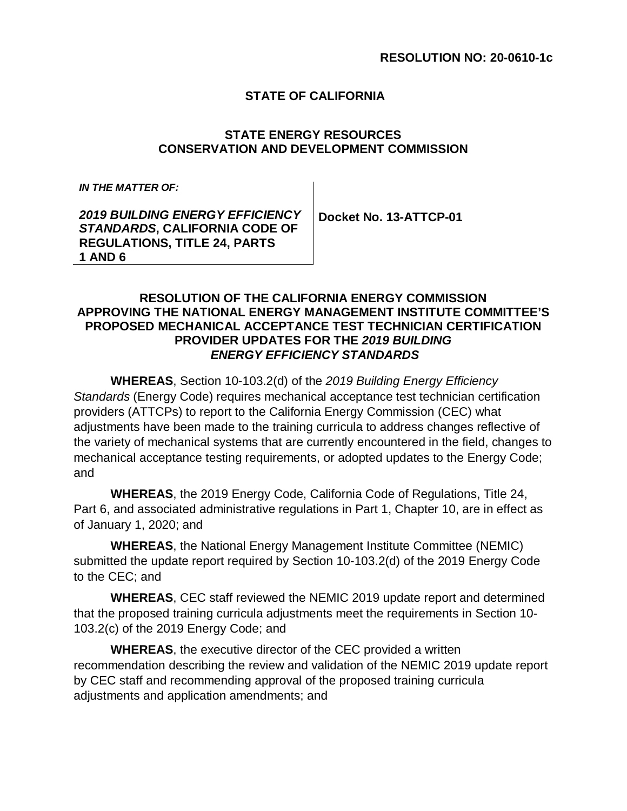## **STATE OF CALIFORNIA**

## **STATE ENERGY RESOURCES CONSERVATION AND DEVELOPMENT COMMISSION**

*IN THE MATTER OF:* 

*2019 BUILDING ENERGY EFFICIENCY STANDARDS***, CALIFORNIA CODE OF REGULATIONS, TITLE 24, PARTS 1 AND 6**

**Docket No. 13-ATTCP-01**

## **RESOLUTION OF THE CALIFORNIA ENERGY COMMISSION APPROVING THE NATIONAL ENERGY MANAGEMENT INSTITUTE COMMITTEE'S PROPOSED MECHANICAL ACCEPTANCE TEST TECHNICIAN CERTIFICATION PROVIDER UPDATES FOR THE** *2019 BUILDING ENERGY EFFICIENCY STANDARDS*

**WHEREAS**, Section 10-103.2(d) of the *2019 Building Energy Efficiency Standards* (Energy Code) requires mechanical acceptance test technician certification providers (ATTCPs) to report to the California Energy Commission (CEC) what adjustments have been made to the training curricula to address changes reflective of the variety of mechanical systems that are currently encountered in the field, changes to mechanical acceptance testing requirements, or adopted updates to the Energy Code; and

**WHEREAS**, the 2019 Energy Code, California Code of Regulations, Title 24, Part 6, and associated administrative regulations in Part 1, Chapter 10, are in effect as of January 1, 2020; and

**WHEREAS**, the National Energy Management Institute Committee (NEMIC) submitted the update report required by Section 10-103.2(d) of the 2019 Energy Code to the CEC; and

**WHEREAS**, CEC staff reviewed the NEMIC 2019 update report and determined that the proposed training curricula adjustments meet the requirements in Section 10- 103.2(c) of the 2019 Energy Code; and

**WHEREAS**, the executive director of the CEC provided a written recommendation describing the review and validation of the NEMIC 2019 update report by CEC staff and recommending approval of the proposed training curricula adjustments and application amendments; and